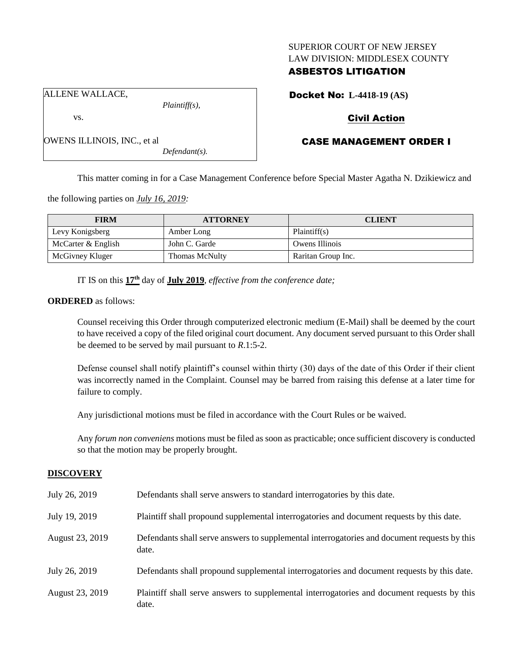### SUPERIOR COURT OF NEW JERSEY LAW DIVISION: MIDDLESEX COUNTY

## ASBESTOS LITIGATION

Docket No: **L-4418-19 (AS)**

ALLENE WALLACE,

OWENS ILLINOIS, INC., et al

vs.

*Plaintiff(s),*

*Defendant(s).*

# Civil Action

## CASE MANAGEMENT ORDER I

This matter coming in for a Case Management Conference before Special Master Agatha N. Dzikiewicz and

the following parties on *July 16, 2019:*

| <b>FIRM</b>        | <b>ATTORNEY</b> | <b>CLIENT</b>      |
|--------------------|-----------------|--------------------|
| Levy Konigsberg    | Amber Long      | Plaintiff(s)       |
| McCarter & English | John C. Garde   | Owens Illinois     |
| McGivney Kluger    | Thomas McNulty  | Raritan Group Inc. |

IT IS on this **17th** day of **July 2019**, *effective from the conference date;*

**ORDERED** as follows:

Counsel receiving this Order through computerized electronic medium (E-Mail) shall be deemed by the court to have received a copy of the filed original court document. Any document served pursuant to this Order shall be deemed to be served by mail pursuant to *R*.1:5-2.

Defense counsel shall notify plaintiff's counsel within thirty (30) days of the date of this Order if their client was incorrectly named in the Complaint. Counsel may be barred from raising this defense at a later time for failure to comply.

Any jurisdictional motions must be filed in accordance with the Court Rules or be waived.

Any *forum non conveniens* motions must be filed as soon as practicable; once sufficient discovery is conducted so that the motion may be properly brought.

## **DISCOVERY**

| July 26, 2019   | Defendants shall serve answers to standard interrogatories by this date.                              |
|-----------------|-------------------------------------------------------------------------------------------------------|
| July 19, 2019   | Plaintiff shall propound supplemental interrogatories and document requests by this date.             |
| August 23, 2019 | Defendants shall serve answers to supplemental interrogatories and document requests by this<br>date. |
| July 26, 2019   | Defendants shall propound supplemental interrogatories and document requests by this date.            |
| August 23, 2019 | Plaintiff shall serve answers to supplemental interrogatories and document requests by this<br>date.  |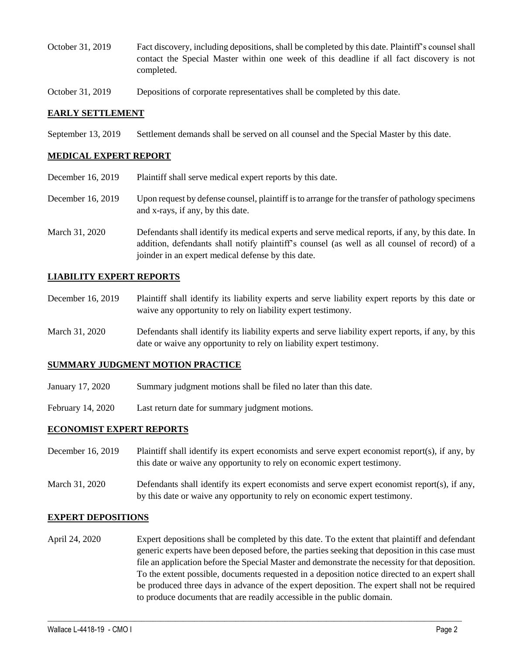- October 31, 2019 Fact discovery, including depositions, shall be completed by this date. Plaintiff's counsel shall contact the Special Master within one week of this deadline if all fact discovery is not completed.
- October 31, 2019 Depositions of corporate representatives shall be completed by this date.

### **EARLY SETTLEMENT**

September 13, 2019 Settlement demands shall be served on all counsel and the Special Master by this date.

### **MEDICAL EXPERT REPORT**

- December 16, 2019 Plaintiff shall serve medical expert reports by this date.
- December 16, 2019 Upon request by defense counsel, plaintiff is to arrange for the transfer of pathology specimens and x-rays, if any, by this date.
- March 31, 2020 Defendants shall identify its medical experts and serve medical reports, if any, by this date. In addition, defendants shall notify plaintiff's counsel (as well as all counsel of record) of a joinder in an expert medical defense by this date.

### **LIABILITY EXPERT REPORTS**

- December 16, 2019 Plaintiff shall identify its liability experts and serve liability expert reports by this date or waive any opportunity to rely on liability expert testimony.
- March 31, 2020 Defendants shall identify its liability experts and serve liability expert reports, if any, by this date or waive any opportunity to rely on liability expert testimony.

## **SUMMARY JUDGMENT MOTION PRACTICE**

- January 17, 2020 Summary judgment motions shall be filed no later than this date.
- February 14, 2020 Last return date for summary judgment motions.

#### **ECONOMIST EXPERT REPORTS**

- December 16, 2019 Plaintiff shall identify its expert economists and serve expert economist report(s), if any, by this date or waive any opportunity to rely on economic expert testimony.
- March 31, 2020 Defendants shall identify its expert economists and serve expert economist report(s), if any, by this date or waive any opportunity to rely on economic expert testimony.

#### **EXPERT DEPOSITIONS**

April 24, 2020 Expert depositions shall be completed by this date. To the extent that plaintiff and defendant generic experts have been deposed before, the parties seeking that deposition in this case must file an application before the Special Master and demonstrate the necessity for that deposition. To the extent possible, documents requested in a deposition notice directed to an expert shall be produced three days in advance of the expert deposition. The expert shall not be required to produce documents that are readily accessible in the public domain.

 $\_$  , and the set of the set of the set of the set of the set of the set of the set of the set of the set of the set of the set of the set of the set of the set of the set of the set of the set of the set of the set of th